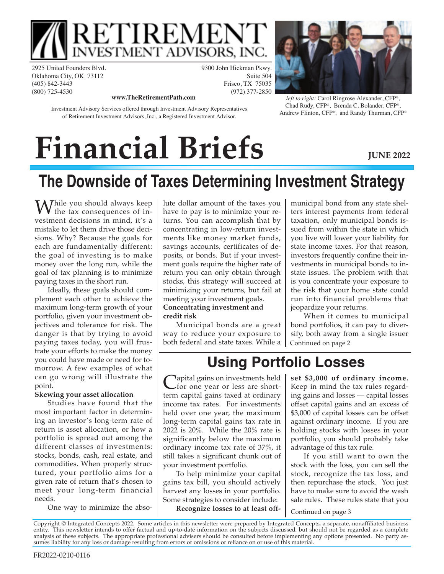

2925 United Founders Blvd. Oklahoma City, OK 73112 (405) 842-3443 (800) 725-4530

9300 John Hickman Pkwy. Suite 504 Frisco, TX 75035 (972) 377-2850



Investment Advisory Services offered through Investment Advisory Representatives of Retirement Investment Advisors, Inc., a Registered Investment Advisor.

**www.TheRetirementPath.com** *left to right:* Carol Ringrose Alexander, CFP®, Chad Rudy, CFP® , Brenda C. Bolander, CFP® , Andrew Flinton, CFP® , and Randy Thurman, CFP®

# **Financial Briefs**

**JUNE 2022**

## **The Downside of Taxes Determining Investment Strategy**

While you should always keep<br>the tax consequences of investment decisions in mind, it's a mistake to let them drive those decisions. Why? Because the goals for each are fundamentally different: the goal of investing is to make money over the long run, while the goal of tax planning is to minimize paying taxes in the short run.

Ideally, these goals should complement each other to achieve the maximum long-term growth of your portfolio, given your investment objectives and tolerance for risk. The danger is that by trying to avoid paying taxes today, you will frustrate your efforts to make the money you could have made or need for tomorrow. A few examples of what can go wrong will illustrate the point.

#### **Skewing your asset allocation**

Studies have found that the most important factor in determining an investor's long-term rate of return is asset allocation, or how a portfolio is spread out among the different classes of investments: stocks, bonds, cash, real estate, and commodities. When properly structured, your portfolio aims for a given rate of return that's chosen to meet your long-term financial needs.

One way to minimize the abso-

lute dollar amount of the taxes you have to pay is to minimize your returns. You can accomplish that by concentrating in low-return investments like money market funds, savings accounts, certificates of deposits, or bonds. But if your investment goals require the higher rate of return you can only obtain through stocks, this strategy will succeed at minimizing your returns, but fail at meeting your investment goals. **Concentrating investment and credit risk**

Municipal bonds are a great way to reduce your exposure to both federal and state taxes. While a municipal bond from any state shelters interest payments from federal taxation, only municipal bonds issued from within the state in which you live will lower your liability for state income taxes. For that reason, investors frequently confine their investments in municipal bonds to instate issues. The problem with that is you concentrate your exposure to the risk that your home state could run into financial problems that jeopardize your returns.

When it comes to municipal bond portfolios, it can pay to diversify, both away from a single issuer Continued on page 2

### **Using Portfolio Losses**

Capital gains on investments held<br>
for one year or less are short-<br>
term capital gains taxed at ordinary **Tapital gains on investments held** for one year or less are shortincome tax rates. For investments held over one year, the maximum long-term capital gains tax rate in 2022 is 20%. While the 20% rate is significantly below the maximum ordinary income tax rate of 37%, it still takes a significant chunk out of your investment portfolio.

To help minimize your capital gains tax bill, you should actively harvest any losses in your portfolio. Some strategies to consider include: **Recognize losses to at least off-** **set \$3,000 of ordinary income.** Keep in mind the tax rules regarding gains and losses — capital losses offset capital gains and an excess of \$3,000 of capital losses can be offset against ordinary income. If you are holding stocks with losses in your portfolio, you should probably take advantage of this tax rule.

If you still want to own the stock with the loss, you can sell the stock, recognize the tax loss, and then repurchase the stock. You just have to make sure to avoid the wash sale rules. These rules state that you

Continued on page 3

Copyright © Integrated Concepts 2022. Some articles in this newsletter were prepared by Integrated Concepts, a separate, nonaffiliated business entity. This newsletter intends to offer factual and up-to-date information on the subjects discussed, but should not be regarded as a complete analysis of these subjects. The appropriate professional advisers should be consulted before implementing any options presented. No party assumes liability for any loss or damage resulting from errors or omissions or reliance on or use of this material.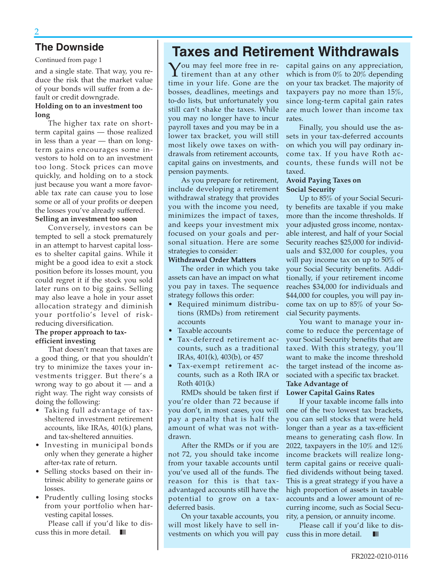Continued from page 1

and a single state. That way, you reduce the risk that the market value of your bonds will suffer from a default or credit downgrade.

#### **Holding on to an investment too long**

The higher tax rate on shortterm capital gains — those realized in less than a year — than on longterm gains encourages some investors to hold on to an investment too long. Stock prices can move quickly, and holding on to a stock just because you want a more favorable tax rate can cause you to lose some or all of your profits or deepen the losses you've already suffered.

#### **Selling an investment too soon**

Conversely, investors can be tempted to sell a stock prematurely in an attempt to harvest capital losses to shelter capital gains. While it might be a good idea to exit a stock position before its losses mount, you could regret it if the stock you sold later runs on to big gains. Selling may also leave a hole in your asset allocation strategy and diminish your portfolio's level of riskreducing diversification.

#### **The proper approach to taxefficient investing**

That doesn't mean that taxes are a good thing, or that you shouldn't try to minimize the taxes your investments trigger. But there's a wrong way to go about it — and a right way. The right way consists of doing the following:

- Taking full advantage of taxsheltered investment retirement accounts, like IRAs, 401(k) plans, and tax-sheltered annuities.
- Investing in municipal bonds only when they generate a higher after-tax rate of return.
- Selling stocks based on their intrinsic ability to generate gains or losses.
- Prudently culling losing stocks from your portfolio when harvesting capital losses.

Please call if you'd like to discuss this in more detail.  $\blacksquare$ 

### **The Downside Taxes and Retirement Withdrawals**

 ${\rm Y}$ ou may feel more free in retirement than at any other time in your life. Gone are the bosses, deadlines, meetings and to-do lists, but unfortunately you still can't shake the taxes. While you may no longer have to incur payroll taxes and you may be in a lower tax bracket, you will still most likely owe taxes on withdrawals from retirement accounts, capital gains on investments, and pension payments.

As you prepare for retirement, include developing a retirement withdrawal strategy that provides you with the income you need, minimizes the impact of taxes, and keeps your investment mix focused on your goals and personal situation. Here are some strategies to consider:

#### **Withdrawal Order Matters**

The order in which you take assets can have an impact on what you pay in taxes. The sequence strategy follows this order:

- Required minimum distributions (RMDs) from retirement accounts
- Taxable accounts
- Tax-deferred retirement accounts, such as a traditional IRAs, 401(k), 403(b), or 457
- Tax-exempt retirement accounts, such as a Roth IRA or Roth 401(k)

RMDs should be taken first if you're older than 72 because if you don't, in most cases, you will pay a penalty that is half the amount of what was not withdrawn.

After the RMDs or if you are not 72, you should take income from your taxable accounts until you've used all of the funds. The reason for this is that taxadvantaged accounts still have the potential to grow on a taxdeferred basis.

On your taxable accounts, you will most likely have to sell investments on which you will pay capital gains on any appreciation, which is from 0% to 20% depending on your tax bracket. The majority of taxpayers pay no more than 15%, since long-term capital gain rates are much lower than income tax rates.

Finally, you should use the assets in your tax-deferred accounts on which you will pay ordinary income tax. If you have Roth accounts, these funds will not be taxed.

#### **Avoid Paying Taxes on Social Security**

Up to 85% of your Social Security benefits are taxable if you make more than the income thresholds. If your adjusted gross income, nontaxable interest, and half of your Social Security reaches \$25,000 for individuals and \$32,000 for couples, you will pay income tax on up to 50% of your Social Security benefits. Additionally, if your retirement income reaches \$34,000 for individuals and \$44,000 for couples, you will pay income tax on up to 85% of your Social Security payments.

You want to manage your income to reduce the percentage of your Social Security benefits that are taxed. With this strategy, you'll want to make the income threshold the target instead of the income associated with a specific tax bracket. **Take Advantage of** 

#### **Lower Capital Gains Rates**

If your taxable income falls into one of the two lowest tax brackets, you can sell stocks that were held longer than a year as a tax-efficient means to generating cash flow. In 2022, taxpayers in the 10% and 12% income brackets will realize longterm capital gains or receive qualified dividends without being taxed. This is a great strategy if you have a high proportion of assets in taxable accounts and a lower amount of recurring income, such as Social Security, a pension, or annuity income.

Please call if you'd like to discuss this in more detail.  $\blacksquare$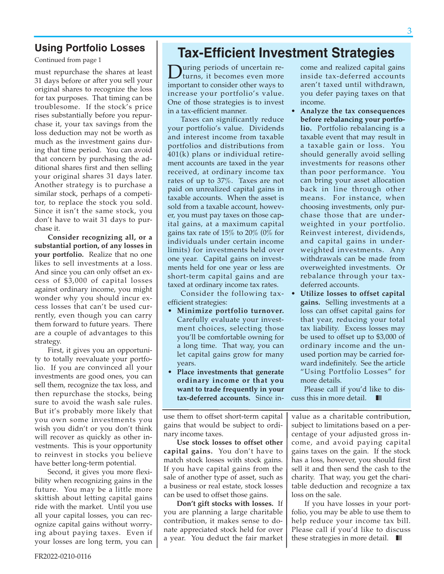#### **Using Portfolio Losses**

Continued from page 1

must repurchase the shares at least 31 days before or after you sell your original shares to recognize the loss for tax purposes. That timing can be troublesome. If the stock's price rises substantially before you repurchase it, your tax savings from the loss deduction may not be worth as much as the investment gains during that time period. You can avoid that concern by purchasing the additional shares first and then selling your original shares 31 days later. Another strategy is to purchase a similar stock, perhaps of a competitor, to replace the stock you sold. Since it isn't the same stock, you don't have to wait 31 days to purchase it.

**Consider recognizing all, or a substantial portion, of any losses in your portfolio.** Realize that no one likes to sell investments at a loss. And since you can only offset an excess of \$3,000 of capital losses against ordinary income, you might wonder why you should incur excess losses that can't be used currently, even though you can carry them forward to future years. There are a couple of advantages to this strategy.

First, it gives you an opportunity to totally reevaluate your portfolio. If you are convinced all your investments are good ones, you can sell them, recognize the tax loss, and then repurchase the stocks, being sure to avoid the wash sale rules. But it's probably more likely that you own some investments you wish you didn't or you don't think will recover as quickly as other investments. This is your opportunity to reinvest in stocks you believe have better long-term potential.

Second, it gives you more flexibility when recognizing gains in the future. You may be a little more skittish about letting capital gains ride with the market. Until you use all your capital losses, you can recognize capital gains without worrying about paying taxes. Even if your losses are long term, you can

### **Tax-Efficient Investment Strategies**

During periods of uncertain returns, it becomes even more important to consider other ways to increase your portfolio's value. One of those strategies is to invest in a tax-efficient manner.

Taxes can significantly reduce your portfolio's value. Dividends and interest income from taxable portfolios and distributions from 401(k) plans or individual retirement accounts are taxed in the year received, at ordinary income tax rates of up to 37%. Taxes are not paid on unrealized capital gains in taxable accounts. When the asset is sold from a taxable account, however, you must pay taxes on those capital gains, at a maximum capital gains tax rate of 15% to 20% (0% for individuals under certain income limits) for investments held over one year. Capital gains on investments held for one year or less are short-term capital gains and are taxed at ordinary income tax rates.

Consider the following taxefficient strategies:

- **Minimize portfolio turnover.** Carefully evaluate your investment choices, selecting those you'll be comfortable owning for a long time. That way, you can let capital gains grow for many years.
- **Place investments that generate ordinary income or that you want to trade frequently in your tax-deferred accounts.** Since in-

come and realized capital gains inside tax-deferred accounts aren't taxed until withdrawn, you defer paying taxes on that income.

- **Analyze the tax consequences before rebalancing your portfolio.** Portfolio rebalancing is a taxable event that may result in a taxable gain or loss. You should generally avoid selling investments for reasons other than poor performance. You can bring your asset allocation back in line through other means. For instance, when choosing investments, only purchase those that are underweighted in your portfolio. Reinvest interest, dividends, and capital gains in underweighted investments. Any withdrawals can be made from overweighted investments. Or rebalance through your taxdeferred accounts.
- • **Utilize losses to offset capital gains.** Selling investments at a loss can offset capital gains for that year, reducing your total tax liability. Excess losses may be used to offset up to \$3,000 of ordinary income and the unused portion may be carried forward indefinitely. See the article "Using Portfolio Losses" for more details.

Please call if you'd like to discuss this in more detail.  $\blacksquare$ 

use them to offset short-term capital gains that would be subject to ordinary income taxes.

**Use stock losses to offset other capital gains.** You don't have to match stock losses with stock gains. If you have capital gains from the sale of another type of asset, such as a business or real estate, stock losses can be used to offset those gains.

**Don't gift stocks with losses.** If you are planning a large charitable contribution, it makes sense to donate appreciated stock held for over a year. You deduct the fair market

value as a charitable contribution, subject to limitations based on a percentage of your adjusted gross income, and avoid paying capital gains taxes on the gain. If the stock has a loss, however, you should first sell it and then send the cash to the charity. That way, you get the charitable deduction and recognize a tax loss on the sale.

If you have losses in your portfolio, you may be able to use them to help reduce your income tax bill. Please call if you'd like to discuss these strategies in more detail.  $\blacksquare$